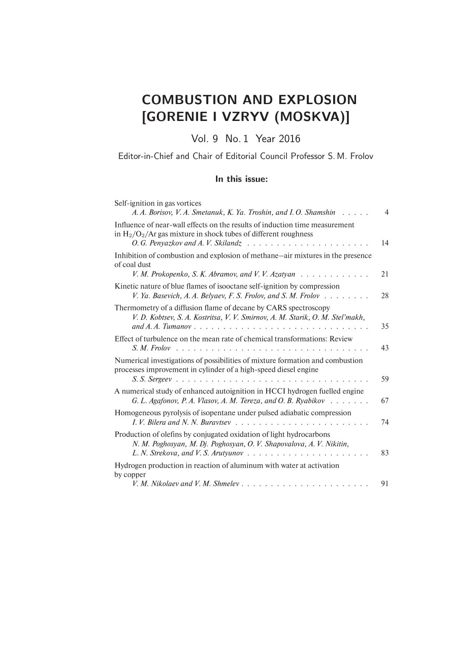## COMBUSTION AND EXPLOSION [GORENIE I VZRYV (MOSKVA)]

Vol. 9 No. 1 Year 2016

Editor-in-Chief and Chair of Editorial Council Professor S. M. Frolov

## In this issue:

| Self-ignition in gas vortices<br>A. A. Borisov, V. A. Smetanuk, K. Ya. Troshin, and I. O. Shamshin<br>and a state                                                                      | 4  |
|----------------------------------------------------------------------------------------------------------------------------------------------------------------------------------------|----|
| Influence of near-wall effects on the results of induction time measurement<br>in $H_2/O_2/Ar$ gas mixture in shock tubes of different roughness<br>O. G. Penyazkov and A. V. Skilandz | 14 |
| Inhibition of combustion and explosion of methane—air mixtures in the presence<br>of coal dust                                                                                         |    |
| V. M. Prokopenko, S. K. Abramov, and V. V. Azatyan $\ldots \ldots \ldots \ldots$                                                                                                       | 21 |
| Kinetic nature of blue flames of isooctane self-ignition by compression<br>V. Ya. Basevich, A. A. Belyaev, F. S. Frolov, and S. M. Frolov $\ldots \ldots$                              | 28 |
| Thermometry of a diffusion flame of decane by CARS spectroscopy<br>V. D. Kobtsev, S. A. Kostritsa, V. V. Smirnov, A. M. Starik, O. M. Stel'makh,<br>and A.A. Tumanov                   | 35 |
| Effect of turbulence on the mean rate of chemical transformations: Review                                                                                                              | 43 |
| Numerical investigations of possibilities of mixture formation and combustion<br>processes improvement in cylinder of a high-speed diesel engine                                       | 59 |
| A numerical study of enhanced autoignition in HCCI hydrogen fuelled engine<br>G. L. Agafonov, P. A. Vlasov, A. M. Tereza, and O. B. Ryabikov $\dots \dots$                             | 67 |
| Homogeneous pyrolysis of isopentane under pulsed adiabatic compression                                                                                                                 | 74 |
| Production of olefins by conjugated oxidation of light hydrocarbons<br>N. M. Poghosyan, M. Dj. Poghosyan, O. V. Shapovalova, A. V. Nikitin,                                            | 83 |
| Hydrogen production in reaction of aluminum with water at activation<br>by copper                                                                                                      |    |
| V.M. Nikolaev and V.M. Shmelev                                                                                                                                                         | 91 |